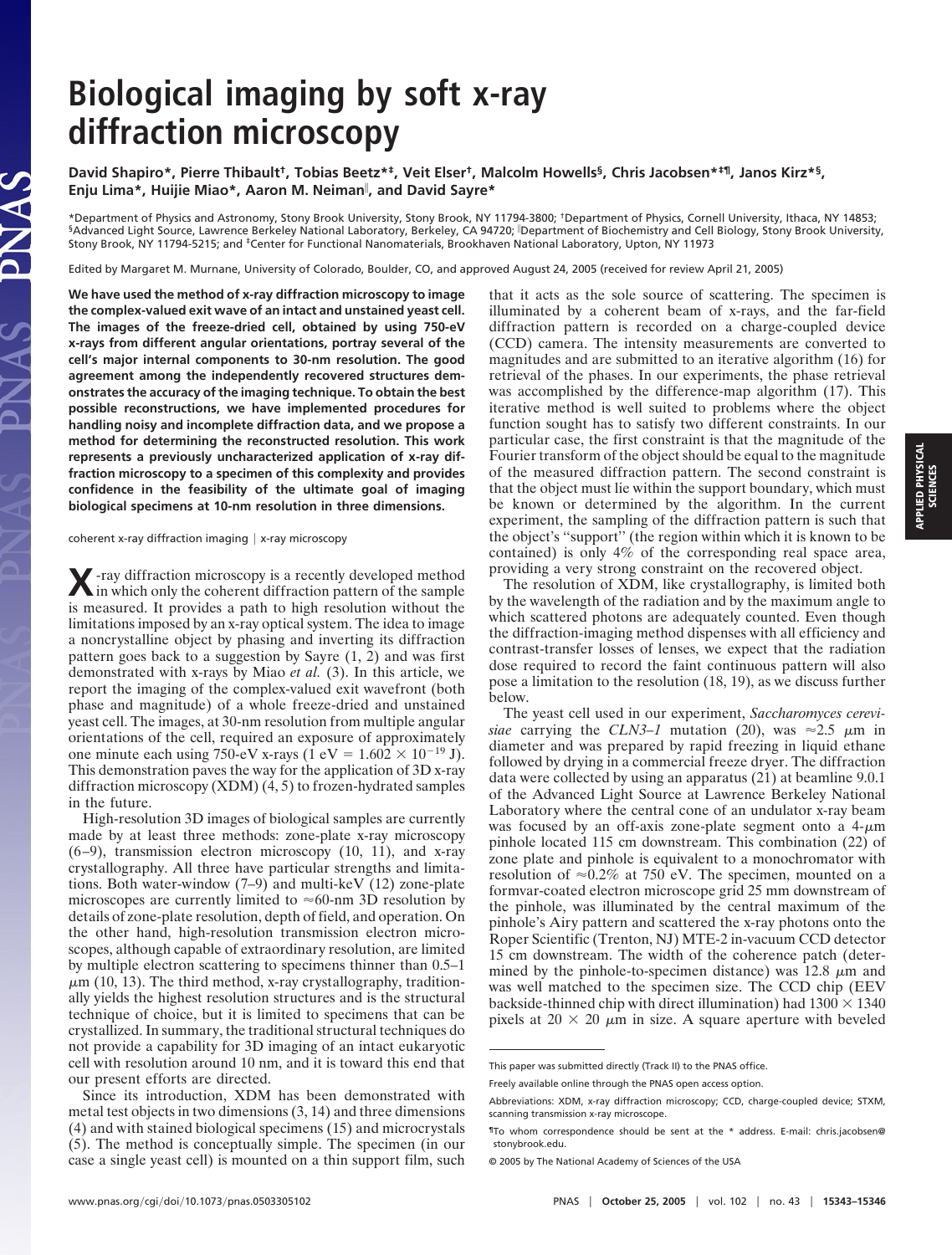## **Biological imaging by soft x-ray diffraction microscopy**

**David Shapiro\*, Pierre Thibault†, Tobias Beetz\*‡, Veit Elser†, Malcolm Howells§, Chris Jacobsen\*‡¶, Janos Kirz\*§, Enju Lima\*, Huijie Miao\*, Aaron M. Neiman , and David Sayre\***

\*Department of Physics and Astronomy, Stony Brook University, Stony Brook, NY 11794-3800; †Department of Physics, Cornell University, Ithaca, NY 14853; §Advanced Light Source, Lawrence Berkeley National Laboratory, Berkeley, CA 94720; Department of Biochemistry and Cell Biology, Stony Brook University, Stony Brook, NY 11794-5215; and ‡Center for Functional Nanomaterials, Brookhaven National Laboratory, Upton, NY 11973

Edited by Margaret M. Murnane, University of Colorado, Boulder, CO, and approved August 24, 2005 (received for review April 21, 2005)

**We have used the method of x-ray diffraction microscopy to image the complex-valued exit wave of an intact and unstained yeast cell. The images of the freeze-dried cell, obtained by using 750-eV x-rays from different angular orientations, portray several of the cell's major internal components to 30-nm resolution. The good agreement among the independently recovered structures demonstrates the accuracy of the imaging technique. To obtain the best possible reconstructions, we have implemented procedures for handling noisy and incomplete diffraction data, and we propose a method for determining the reconstructed resolution. This work represents a previously uncharacterized application of x-ray diffraction microscopy to a specimen of this complexity and provides confidence in the feasibility of the ultimate goal of imaging biological specimens at 10-nm resolution in three dimensions.**

 $\mathsf{coherent}$  x-ray diffraction imaging  $\mid$  x-ray microscopy

**X**-ray diffraction microscopy is a recently developed method in which only the coherent diffraction pattern of the sample is measured. It provides a path to high resolution without the limitations imposed by an x-ray optical system. The idea to image a noncrystalline object by phasing and inverting its diffraction pattern goes back to a suggestion by Sayre (1, 2) and was first demonstrated with x-rays by Miao *et al.* (3). In this article, we report the imaging of the complex-valued exit wavefront (both phase and magnitude) of a whole freeze-dried and unstained yeast cell. The images, at 30-nm resolution from multiple angular orientations of the cell, required an exposure of approximately one minute each using 750-eV x-rays (1 eV =  $1.602 \times 10^{-19}$  J). This demonstration paves the way for the application of 3D x-ray diffraction microscopy (XDM) (4, 5) to frozen-hydrated samples in the future.

High-resolution 3D images of biological samples are currently made by at least three methods: zone-plate x-ray microscopy (6–9), transmission electron microscopy (10, 11), and x-ray crystallography. All three have particular strengths and limitations. Both water-window (7–9) and multi-keV (12) zone-plate microscopes are currently limited to  $\approx 60$ -nm 3D resolution by details of zone-plate resolution, depth of field, and operation. On the other hand, high-resolution transmission electron microscopes, although capable of extraordinary resolution, are limited by multiple electron scattering to specimens thinner than 0.5–1  $\mu$ m (10, 13). The third method, x-ray crystallography, traditionally yields the highest resolution structures and is the structural technique of choice, but it is limited to specimens that can be crystallized. In summary, the traditional structural techniques do not provide a capability for 3D imaging of an intact eukaryotic cell with resolution around 10 nm, and it is toward this end that our present efforts are directed.

Since its introduction, XDM has been demonstrated with metal test objects in two dimensions (3, 14) and three dimensions (4) and with stained biological specimens (15) and microcrystals (5). The method is conceptually simple. The specimen (in our case a single yeast cell) is mounted on a thin support film, such

that it acts as the sole source of scattering. The specimen is illuminated by a coherent beam of x-rays, and the far-field diffraction pattern is recorded on a charge-coupled device (CCD) camera. The intensity measurements are converted to magnitudes and are submitted to an iterative algorithm (16) for retrieval of the phases. In our experiments, the phase retrieval was accomplished by the difference-map algorithm (17). This iterative method is well suited to problems where the object function sought has to satisfy two different constraints. In our particular case, the first constraint is that the magnitude of the Fourier transform of the object should be equal to the magnitude of the measured diffraction pattern. The second constraint is that the object must lie within the support boundary, which must be known or determined by the algorithm. In the current experiment, the sampling of the diffraction pattern is such that the object's ''support'' (the region within which it is known to be contained) is only 4% of the corresponding real space area, providing a very strong constraint on the recovered object.

The resolution of XDM, like crystallography, is limited both by the wavelength of the radiation and by the maximum angle to which scattered photons are adequately counted. Even though the diffraction-imaging method dispenses with all efficiency and contrast-transfer losses of lenses, we expect that the radiation dose required to record the faint continuous pattern will also pose a limitation to the resolution (18, 19), as we discuss further below.

The yeast cell used in our experiment, *Saccharomyces cerevisiae* carrying the *CLN3–1* mutation (20), was  $\approx 2.5 \mu m$  in diameter and was prepared by rapid freezing in liquid ethane followed by drying in a commercial freeze dryer. The diffraction data were collected by using an apparatus (21) at beamline 9.0.1 of the Advanced Light Source at Lawrence Berkeley National Laboratory where the central cone of an undulator x-ray beam was focused by an off-axis zone-plate segment onto a  $4-\mu m$ pinhole located 115 cm downstream. This combination (22) of zone plate and pinhole is equivalent to a monochromator with resolution of  $\approx 0.2\%$  at 750 eV. The specimen, mounted on a formvar-coated electron microscope grid 25 mm downstream of the pinhole, was illuminated by the central maximum of the pinhole's Airy pattern and scattered the x-ray photons onto the Roper Scientific (Trenton, NJ) MTE-2 in-vacuum CCD detector 15 cm downstream. The width of the coherence patch (determined by the pinhole-to-specimen distance) was 12.8  $\mu$ m and was well matched to the specimen size. The CCD chip (EEV backside-thinned chip with direct illumination) had  $1300 \times 1340$ pixels at  $20 \times 20 \mu m$  in size. A square aperture with beveled

This paper was submitted directly (Track II) to the PNAS office.

Freely available online through the PNAS open access option.

Abbreviations: XDM, x-ray diffraction microscopy; CCD, charge-coupled device; STXM, scanning transmission x-ray microscope.

<sup>¶</sup>To whom correspondence should be sent at the \* address. E-mail: chris.jacobsen@ stonybrook.edu.

<sup>© 2005</sup> by The National Academy of Sciences of the USA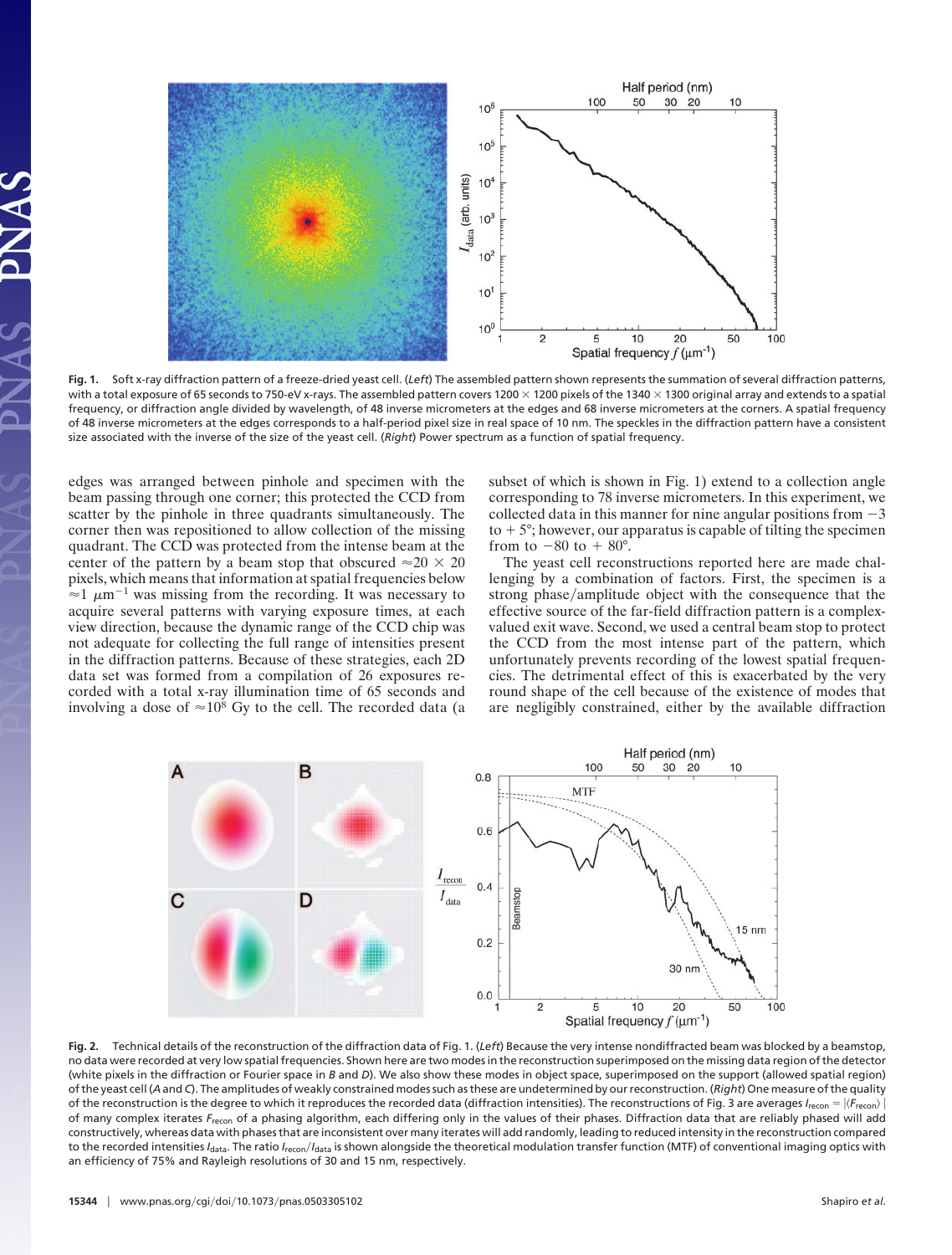

**Fig. 1.** Soft x-ray diffraction pattern of a freeze-dried yeast cell. (*Left*) The assembled pattern shown represents the summation of several diffraction patterns, with a total exposure of 65 seconds to 750-eV x-rays. The assembled pattern covers 1200  $\times$  1200 pixels of the 1340  $\times$  1300 original array and extends to a spatial frequency, or diffraction angle divided by wavelength, of 48 inverse micrometers at the edges and 68 inverse micrometers at the corners. A spatial frequency of 48 inverse micrometers at the edges corresponds to a half-period pixel size in real space of 10 nm. The speckles in the diffraction pattern have a consistent size associated with the inverse of the size of the yeast cell. (*Right*) Power spectrum as a function of spatial frequency.

edges was arranged between pinhole and specimen with the beam passing through one corner; this protected the CCD from scatter by the pinhole in three quadrants simultaneously. The corner then was repositioned to allow collection of the missing quadrant. The CCD was protected from the intense beam at the center of the pattern by a beam stop that obscured  $\approx 20 \times 20$ pixels, which means that information at spatial frequencies below  $\approx$ 1  $\mu$ m<sup>-1</sup> was missing from the recording. It was necessary to acquire several patterns with varying exposure times, at each view direction, because the dynamic range of the CCD chip was not adequate for collecting the full range of intensities present in the diffraction patterns. Because of these strategies, each 2D data set was formed from a compilation of 26 exposures recorded with a total x-ray illumination time of 65 seconds and involving a dose of  $\approx 10^8$  Gy to the cell. The recorded data (a subset of which is shown in Fig. 1) extend to a collection angle corresponding to 78 inverse micrometers. In this experiment, we collected data in this manner for nine angular positions from  $-3$ to  $+5^\circ$ ; however, our apparatus is capable of tilting the specimen from to  $-80$  to  $+80^{\circ}$ .

The yeast cell reconstructions reported here are made challenging by a combination of factors. First, the specimen is a strong phase/amplitude object with the consequence that the effective source of the far-field diffraction pattern is a complexvalued exit wave. Second, we used a central beam stop to protect the CCD from the most intense part of the pattern, which unfortunately prevents recording of the lowest spatial frequencies. The detrimental effect of this is exacerbated by the very round shape of the cell because of the existence of modes that are negligibly constrained, either by the available diffraction



**Fig. 2.** Technical details of the reconstruction of the diffraction data of Fig. 1. (*Left*) Because the very intense nondiffracted beam was blocked by a beamstop, no data were recorded at very low spatial frequencies. Shown here are two modes in the reconstruction superimposed on the missing data region of the detector (white pixels in the diffraction or Fourier space in *B* and *D*). We also show these modes in object space, superimposed on the support (allowed spatial region) of the yeast cell (*A* and *C*). The amplitudes of weakly constrained modes such as these are undetermined by our reconstruction. (*Right*) One measure of the quality of the reconstruction is the degree to which it reproduces the recorded data (diffraction intensities). The reconstructions of Fig. 3 are averages  $I_{\rm recon}$   $=$   $\langle F_{\rm recon} \rangle$  of many complex iterates *F*recon of a phasing algorithm, each differing only in the values of their phases. Diffraction data that are reliably phased will add constructively, whereas data with phases that are inconsistent over many iterates will add randomly, leading to reduced intensity in the reconstruction compared to the recorded intensities *I*<sub>data</sub>. The ratio *I*<sub>recon</sub>/*I*<sub>data</sub> is shown alongside the theoretical modulation transfer function (MTF) of conventional imaging optics with an efficiency of 75% and Rayleigh resolutions of 30 and 15 nm, respectively.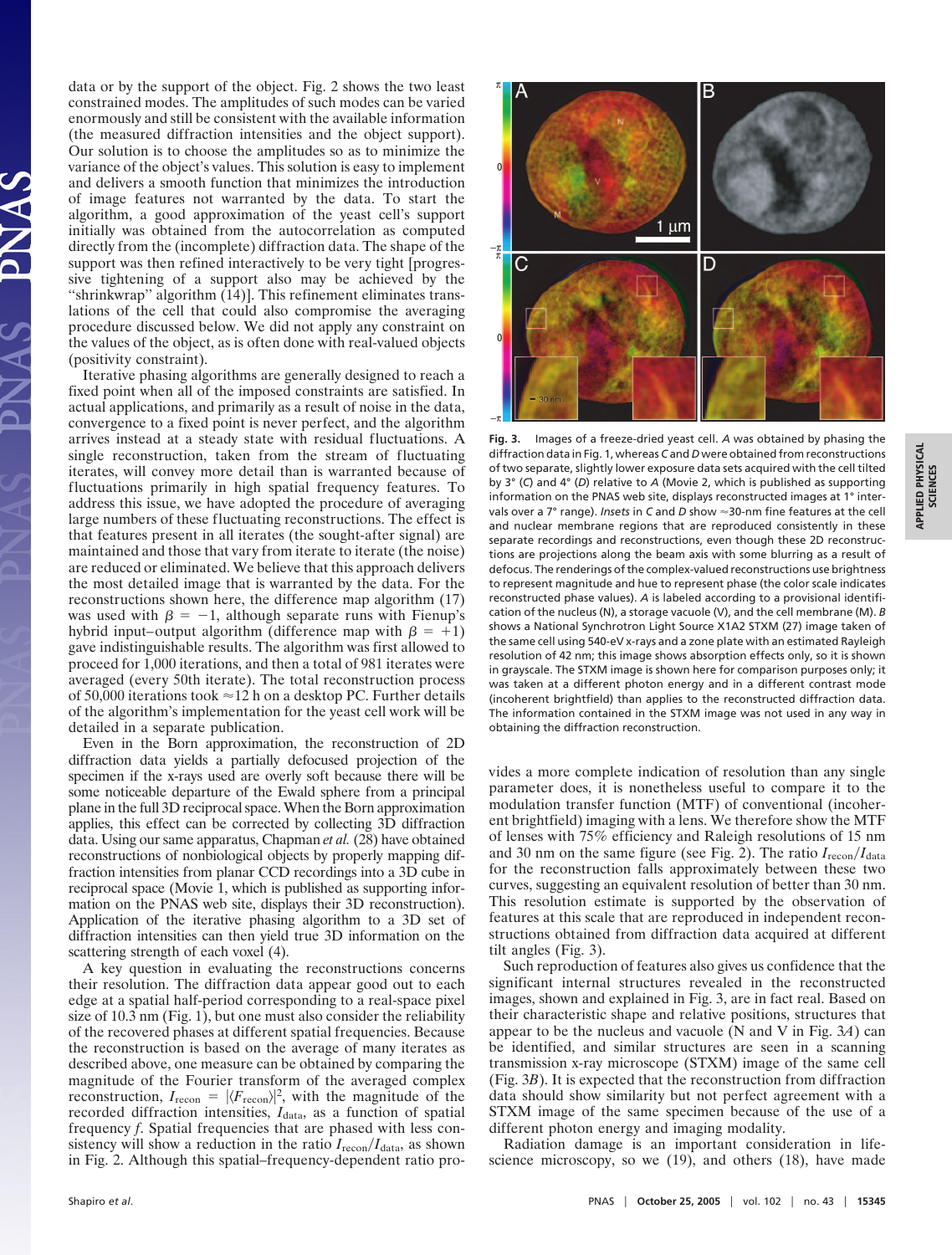data or by the support of the object. Fig. 2 shows the two least constrained modes. The amplitudes of such modes can be varied enormously and still be consistent with the available information (the measured diffraction intensities and the object support). Our solution is to choose the amplitudes so as to minimize the variance of the object's values. This solution is easy to implement and delivers a smooth function that minimizes the introduction of image features not warranted by the data. To start the algorithm, a good approximation of the yeast cell's support initially was obtained from the autocorrelation as computed directly from the (incomplete) diffraction data. The shape of the support was then refined interactively to be very tight [progressive tightening of a support also may be achieved by the "shrinkwrap" algorithm (14)]. This refinement eliminates translations of the cell that could also compromise the averaging procedure discussed below. We did not apply any constraint on the values of the object, as is often done with real-valued objects (positivity constraint).

Iterative phasing algorithms are generally designed to reach a fixed point when all of the imposed constraints are satisfied. In actual applications, and primarily as a result of noise in the data, convergence to a fixed point is never perfect, and the algorithm arrives instead at a steady state with residual fluctuations. A single reconstruction, taken from the stream of fluctuating iterates, will convey more detail than is warranted because of fluctuations primarily in high spatial frequency features. To address this issue, we have adopted the procedure of averaging large numbers of these fluctuating reconstructions. The effect is that features present in all iterates (the sought-after signal) are maintained and those that vary from iterate to iterate (the noise) are reduced or eliminated. We believe that this approach delivers the most detailed image that is warranted by the data. For the reconstructions shown here, the difference map algorithm (17) was used with  $\beta = -1$ , although separate runs with Fienup's hybrid input–output algorithm (difference map with  $\beta = +1$ ) gave indistinguishable results. The algorithm was first allowed to proceed for 1,000 iterations, and then a total of 981 iterates were averaged (every 50th iterate). The total reconstruction process of 50,000 iterations took  $\approx$  12 h on a desktop PC. Further details of the algorithm's implementation for the yeast cell work will be detailed in a separate publication.

Even in the Born approximation, the reconstruction of 2D diffraction data yields a partially defocused projection of the specimen if the x-rays used are overly soft because there will be some noticeable departure of the Ewald sphere from a principal plane in the full 3D reciprocal space.When the Born approximation applies, this effect can be corrected by collecting 3D diffraction data. Using our same apparatus, Chapman *et al.* (28) have obtained reconstructions of nonbiological objects by properly mapping diffraction intensities from planar CCD recordings into a 3D cube in reciprocal space (Movie 1, which is published as supporting information on the PNAS web site, displays their 3D reconstruction). Application of the iterative phasing algorithm to a 3D set of diffraction intensities can then yield true 3D information on the scattering strength of each voxel (4).

A key question in evaluating the reconstructions concerns their resolution. The diffraction data appear good out to each edge at a spatial half-period corresponding to a real-space pixel size of 10.3 nm (Fig. 1), but one must also consider the reliability of the recovered phases at different spatial frequencies. Because the reconstruction is based on the average of many iterates as described above, one measure can be obtained by comparing the magnitude of the Fourier transform of the averaged complex reconstruction,  $I_{\text{recon}} = |\langle F_{\text{recon}} \rangle|^2$ , with the magnitude of the recorded diffraction intensities,  $I_{data}$ , as a function of spatial frequency *f*. Spatial frequencies that are phased with less consistency will show a reduction in the ratio  $I_{\text{recon}}/I_{\text{data}}$ , as shown in Fig. 2. Although this spatial–frequency-dependent ratio pro-



**Fig. 3.** Images of a freeze-dried yeast cell. *A* was obtained by phasing the diffraction data in Fig. 1, whereas *C* and *D* were obtained from reconstructions of two separate, slightly lower exposure data sets acquired with the cell tilted by 3° (*C*) and 4° (*D*) relative to *A* (Movie 2, which is published as supporting information on the PNAS web site, displays reconstructed images at 1° intervals over a 7° range). *Insets* in *C* and *D* show ≈30-nm fine features at the cell and nuclear membrane regions that are reproduced consistently in these separate recordings and reconstructions, even though these 2D reconstructions are projections along the beam axis with some blurring as a result of defocus. The renderings of the complex-valued reconstructions use brightness to represent magnitude and hue to represent phase (the color scale indicates reconstructed phase values). *A* is labeled according to a provisional identification of the nucleus (N), a storage vacuole (V), and the cell membrane (M). *B* shows a National Synchrotron Light Source X1A2 STXM (27) image taken of the same cell using 540-eV x-rays and a zone plate with an estimated Rayleigh resolution of 42 nm; this image shows absorption effects only, so it is shown in grayscale. The STXM image is shown here for comparison purposes only; it was taken at a different photon energy and in a different contrast mode (incoherent brightfield) than applies to the reconstructed diffraction data. The information contained in the STXM image was not used in any way in obtaining the diffraction reconstruction.

vides a more complete indication of resolution than any single parameter does, it is nonetheless useful to compare it to the modulation transfer function (MTF) of conventional (incoherent brightfield) imaging with a lens. We therefore show the MTF of lenses with 75% efficiency and Raleigh resolutions of 15 nm and 30 nm on the same figure (see Fig. 2). The ratio *I*recon*I*data for the reconstruction falls approximately between these two curves, suggesting an equivalent resolution of better than 30 nm. This resolution estimate is supported by the observation of features at this scale that are reproduced in independent reconstructions obtained from diffraction data acquired at different tilt angles (Fig. 3).

Such reproduction of features also gives us confidence that the significant internal structures revealed in the reconstructed images, shown and explained in Fig. 3, are in fact real. Based on their characteristic shape and relative positions, structures that appear to be the nucleus and vacuole (N and V in Fig. 3*A*) can be identified, and similar structures are seen in a scanning transmission x-ray microscope (STXM) image of the same cell (Fig. 3*B*). It is expected that the reconstruction from diffraction data should show similarity but not perfect agreement with a STXM image of the same specimen because of the use of a different photon energy and imaging modality.

Radiation damage is an important consideration in lifescience microscopy, so we (19), and others (18), have made